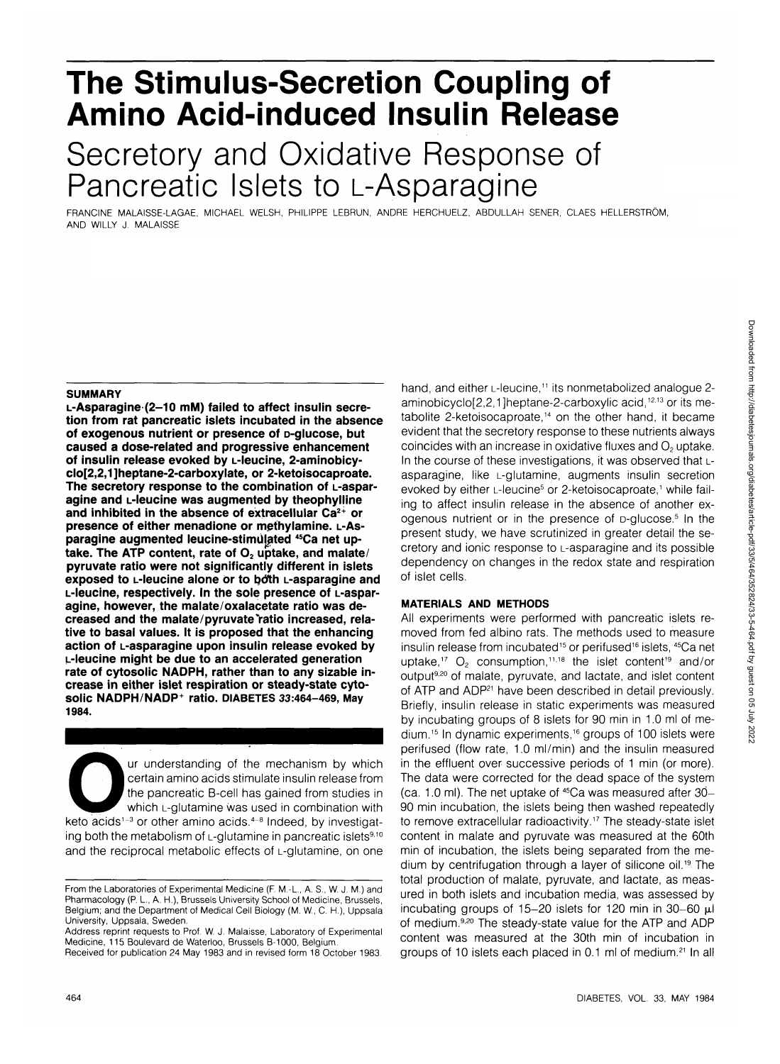# **The Stimulus-Secretion Coupling of Amino Acid-induced Insulin Release** Secretory and Oxidative Response of Pancreatic Islets to L-Asparagine

FRANCINE MALAISSE-LAGAE, MICHAEL WELSH, PHILIPPE LEBRUN, ANDRE HERCHUELZ, ABDULLAH SENER, CLAES HELLERSTROM, AND WILLY J. MALAISSE

#### **SUMMARY**

**L-Asparagine (2-10 mM) failed to affect insulin secretion from rat pancreatic islets incubated in the absence of exogenous nutrient or presence of D-glucose, but caused a dose-related and progressive enhancement of insulin release evoked by L-leucine, 2-aminobicyclo[2,2,1]heptane-2-carboxylate, or 2-ketoisocaproate. The secretory response to the combination of L-asparagine and L-leucine was augmented by theophylline and inhibited in the absence of extracellular Ca2+ or presence of either menadione or methylamine. L-As**paragine augmented leucine-stimulated <sup>45</sup>Ca net uptake. The ATP content, rate of O<sub>2</sub> uptake, and malate/ **pyruvate ratio were not significantly different in islets exposed to L-leucine alone or to both L-asparagine and L-leucine, respectively. In the sole presence of L-asparagine, however, the malate/oxalacetate ratio was de**creased and the malate/pyruvate ratio increased, rela**tive to basal values. It is proposed that the enhancing action of L-asparagine upon insulin release evoked by L-leucine might be due to an accelerated generation rate of cytosolic NAOPH, rather than to any sizable increase in either islet respiration or steady-state cytosolic NADPH NADP<sup>+</sup> ratio. DIABETES 33:464-469, May 1984.**

Ur understanding of the mechanism by which<br>
certain amino acids stimulate insulin release from<br>
the pancreatic B-cell has gained from studies in<br>
which L-glutamine was used in combination with<br>
keto acids<sup>1-3</sup> or other ami certain amino acids stimulate insulin release from the pancreatic B-cell has gained from studies in which L-glutamine was used in combination with ing both the metabolism of  $L$ -glutamine in pancreatic islets $9,10$ and the reciprocal metabolic effects of L-glutamine, on one

hand, and either L-leucine,<sup>11</sup> its nonmetabolized analogue 2aminobicyclo[2,2,1]heptane-2-carboxylic acid,<sup>12,13</sup> or its metabolite 2-ketoisocaproate,<sup>14</sup> on the other hand, it became evident that the secretory response to these nutrients always coincides with an increase in oxidative fluxes and  $O<sub>2</sub>$  uptake. In the course of these investigations, it was observed that Lasparagine, like L-glutamine, augments insulin secretion evoked by either L-leucine<sup>5</sup> or 2-ketoisocaproate,<sup>1</sup> while failing to affect insulin release in the absence of another exogenous nutrient or in the presence of D-glucose.<sup>5</sup> In the present study, we have scrutinized in greater detail the secretory and ionic response to L-asparagine and its possible dependency on changes in the redox state and respiration of islet cells.

## **MATERIALS AND METHODS**

All experiments were performed with pancreatic islets removed from fed albino rats. The methods used to measure insulin release from incubated<sup>15</sup> or perifused<sup>16</sup> islets, <sup>45</sup>Ca ne uptake,<sup>17</sup>  $O_2$  consumption,<sup>11,18</sup> the islet content<sup>19</sup> and/or output<sup>9,20</sup> of malate, pyruvate, and lactate, and islet content of ATP and ADP<sup>21</sup> have been described in detail previously. Briefly, insulin release in static experiments was measured by incubating groups of 8 islets for 90 min in 1.0 ml of medium.<sup>15</sup> In dynamic experiments,<sup>16</sup> groups of 100 islets were perifused (flow rate, 1.0 ml/min) and the insulin measured in the effluent over successive periods of 1 min (or more). The data were corrected for the dead space of the system (ca. 1.0 ml). The net uptake of 45Ca was measured after 30- 90 min incubation, the islets being then washed repeatedly to remove extracellular radioactivity.<sup>17</sup> The steady-state islet content in malate and pyruvate was measured at the 60th min of incubation, the islets being separated from the medium by centrifugation through a layer of silicone oil.<sup>19</sup> The total production of malate, pyruvate, and lactate, as measured in both islets and incubation media, was assessed by incubating groups of 15-20 islets for 120 min in 30-60  $\mu$ l of medium.<sup>9,20</sup> The steady-state value for the ATP and ADP content was measured at the 30th min of incubation in groups of 10 islets each placed in 0.1 ml of medium.<sup>21</sup> In all

From the Laboratories of Experimental Medicine (F. M.-L, A. S., W. J. M.) and Pharmacology (P. L, A. H.), Brussels University School of Medicine, Brussels, Belgium; and the Department of Medical Cell Biology (M. W., C. H), Uppsala University, Uppsala, Sweden.

Address reprint requests to Prof. W. J. Malaisse, Laboratory of Experimental Medicine, 115 Boulevard de Waterloo, Brussels B-1000, Belgium.

Received for publication 24 May 1983 and in revised form 18 October 1983.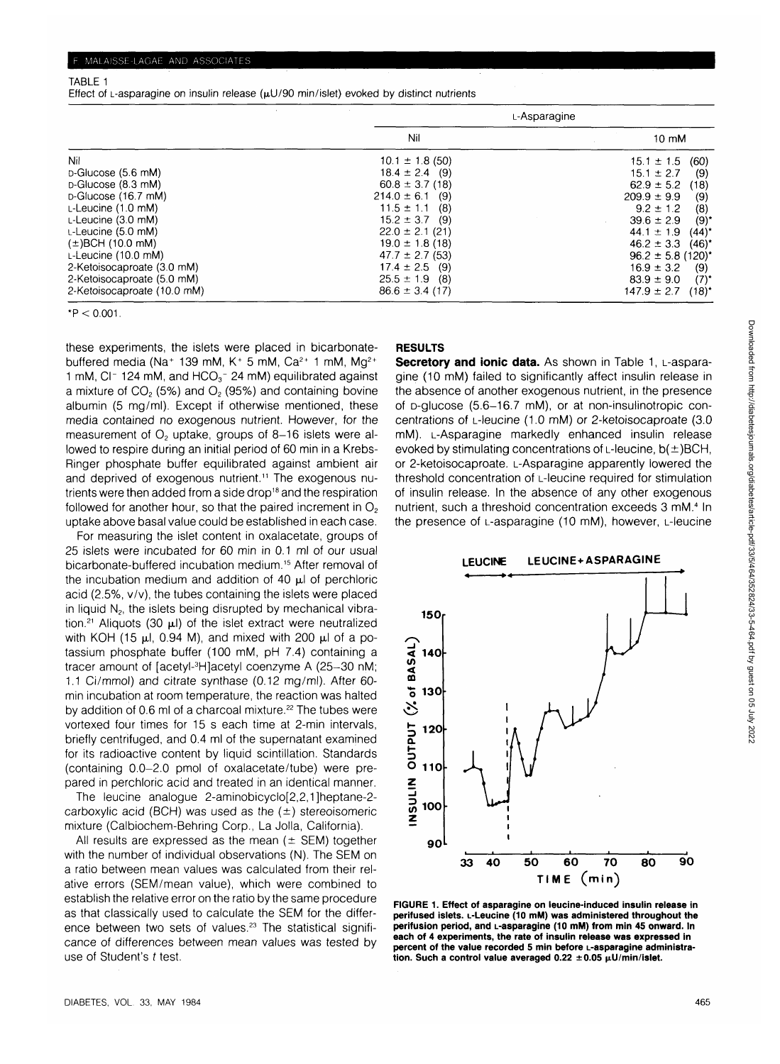#### TABLE 1

Effect of L-asparagine on insulin release  $(\mu U/90 \text{ min/islet})$  evoked by distinct nutrients

|                                 |                          | L-Asparagine                |
|---------------------------------|--------------------------|-----------------------------|
|                                 | Nil                      | 10 mM                       |
| Nil                             | $10.1 \pm 1.8$ (50)      | (60)<br>$15.1 \pm 1.5$      |
| D-Glucose (5.6 mM)              | $18.4 \pm 2.4$ (9)       | $15.1 \pm 2.7$<br>(9)       |
| D-Glucose (8.3 mM)              | $60.8 \pm 3.7(18)$       | $62.9 \pm 5.2$<br>(18)      |
| D-Glucose (16.7 mM)             | $214.0 \pm 6.1$<br>- (9) | $209.9 \pm 9.9$<br>(9)      |
| $L$ -Leucine $(1.0 \text{ mM})$ | $11.5 \pm 1.1$<br>- (8)  | $9.2 \pm 1.2$<br>(8)        |
| $L$ -Leucine (3.0 mM)           | $15.2 \pm 3.7$<br>- (9)  | (9)<br>$39.6 \pm 2.9$       |
| $L$ -Leucine (5.0 mM)           | $22.0 \pm 2.1$ (21)      | $(44)^*$<br>$44.1 \pm 1.9$  |
| $(\pm)$ BCH (10.0 mM)           | $19.0 \pm 1.8$ (18)      | $46.2 \pm 3.3$<br>$(46)^*$  |
| $L$ -Leucine (10.0 mM)          | $47.7 \pm 2.7$ (53)      | $96.2 \pm 5.8$ (120)*       |
| 2-Ketoisocaproate (3.0 mM)      | $17.4 \pm 2.5$ (9)       | $16.9 \pm 3.2$<br>(9)       |
| 2-Ketoisocaproate (5.0 mM)      | $25.5 \pm 1.9$ (8)       | $83.9 \pm 9.0$<br>$(7)^{*}$ |
| 2-Ketoisocaproate (10.0 mM)     | $86.6 \pm 3.4$ (17)      | $(18)^*$<br>$147.9 \pm 2.7$ |

 $*P < 0.001$ .

these experiments, the islets were placed in bicarbonatebuffered media (Na<sup>+</sup> 139 mM, K<sup>+</sup> 5 mM, Ca<sup>2+</sup> 1 mM, Mg<sup>2+</sup> 1 mM, CI $-$  124 mM, and HCO<sub>3</sub> $-$  24 mM) equilibrated against a mixture of  $CO<sub>2</sub>$  (5%) and  $O<sub>2</sub>$  (95%) and containing bovine albumin (5 mg/ml). Except if otherwise mentioned, these media contained no exogenous nutrient. However, for the measurement of  $O<sub>2</sub>$  uptake, groups of 8-16 islets were allowed to respire during an initial period of 60 min in a Krebs-Ringer phosphate buffer equilibrated against ambient air and deprived of exogenous nutrient.<sup>11</sup> The exogenous nutrients were then added from a side drop<sup>18</sup> and the respiration followed for another hour, so that the paired increment in  $O<sub>2</sub>$ uptake above basal value could be established in each case.

For measuring the islet content in oxalacetate, groups of 25 islets were incubated for 60 min in 0.1 ml of our usual bicarbonate-buffered incubation medium.<sup>15</sup> After removal of the incubation medium and addition of 40  $\mu$ I of perchloric acid (2.5%, v/v), the tubes containing the islets were placed in liquid  $N<sub>2</sub>$ , the islets being disrupted by mechanical vibration.<sup>21</sup> Aliquots (30  $\mu$ l) of the islet extract were neutralized with KOH (15  $\mu$ l, 0.94 M), and mixed with 200  $\mu$ l of a potassium phosphate buffer (100 mM, pH 7.4) containing a tracer amount of [acetyl-<sup>3</sup>H]acetyl coenzyme A (25-30 nM; 1.1 Ci/mmol) and citrate synthase (0.12 mg/ml). After 60 min incubation at room temperature, the reaction was halted by addition of 0.6 ml of a charcoal mixture.<sup>22</sup> The tubes were vortexed four times for 15 s each time at 2-min intervals, briefly centrifuged, and 0.4 ml of the supernatant examined for its radioactive content by liquid scintillation. Standards (containing 0.0-2.0 pmol of oxalacetate/tube) were prepared in perchloric acid and treated in an identical manner.

The leucine analogue 2-aminobicyclo[2,2,1]heptane-2 carboxylic acid (BCH) was used as the  $(\pm)$  stereoisomeric mixture (Calbiochem-Behring Corp., La Jolla, California).

All results are expressed as the mean ( $\pm$  SEM) together with the number of individual observations (N). The SEM on a ratio between mean values was calculated from their relative errors (SEM/mean value), which were combined to establish the relative error on the ratio by the same procedure as that classically used to calculate the SEM for the difference between two sets of values.<sup>23</sup> The statistical significance of differences between mean values was tested by use of Student's t test.

## **RESULTS**

**Secretory and ionic data.** As shown in Table 1, L-asparagine (10 mM) failed to significantly affect insulin release in the absence of another exogenous nutrient, in the presence of D-glucose (5.6-16.7 mM), or at non-insulinotropic concentrations of L-leucine (1.0 mM) or 2-ketoisocaproate (3.0 mM). L-Asparagine markedly enhanced insulin release evoked by stimulating concentrations of L-leucine,  $b(±)BCH$ , or 2-ketoisocaproate. L-Asparagine apparently lowered the threshold concentration of L-leucine required for stimulation of insulin release. In the absence of any other exogenous nutrient, such a threshold concentration exceeds 3 mM.<sup>4</sup> In the presence of L-asparagine (10 mM), however, L-leucine



**FIGURE 1. Effect of asparagine on leucine-induced insulin release in perifused islets. L-Leucine (10 mM) was administered throughout the perifusion period, and L-asparagine (10 mM) from min 45 onward. In each of 4 experiments, the rate of insulin release was expressed in percent of the value recorded 5 min before L-asparagine administra**tion. Such a control value averaged  $0.22 \pm 0.05$   $\mu$ U/min/islet.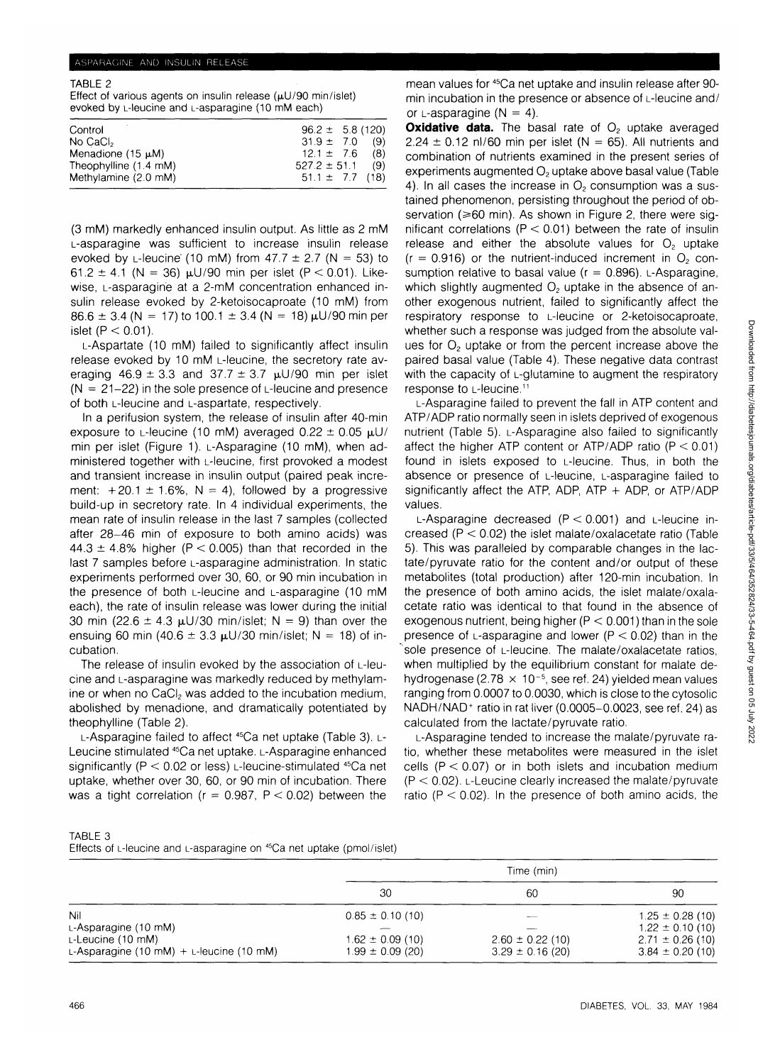#### ASPARAGINE AND INSULIN RELEASE

TABLE 2

Effect of various agents on insulin release  $(\mu U/90 \text{ min/islet})$ evoked by L-leucine and L-asparagine (10 mM each)

| Control                | $96.2 \pm 5.8$ (120) |     |
|------------------------|----------------------|-----|
| No CaCl <sub>2</sub>   | $31.9 \pm 7.0$       | (9) |
| Menadione $(15 \mu M)$ | $12.1 \pm 7.6$       | (8) |
| Theophylline (1.4 mM)  | $527.2 \pm 51.1$     | (9) |
| Methylamine (2.0 mM)   | $51.1 \pm 7.7$ (18)  |     |
|                        |                      |     |

(3 mM) markedly enhanced insulin output. As little as 2 mM L-asparagine was sufficient to increase insulin release evoked by L-leucine (10 mM) from  $47.7 \pm 2.7$  (N = 53) to 61.2  $\pm$  4.1 (N = 36)  $\mu$ U/90 min per islet (P < 0.01). Likewise, L-asparagine at a 2-mM concentration enhanced insulin release evoked by 2-ketoisocaproate (10 mM) from  $86.6 \pm 3.4$  (N = 17) to 100.1  $\pm$  3.4 (N = 18)  $\mu$ U/90 min per islet  $(P < 0.01)$ .

L-Aspartate (10 mM) failed to significantly affect insulin release evoked by 10 mM L-leucine, the secretory rate averaging  $46.9 \pm 3.3$  and  $37.7 \pm 3.7$   $\mu$ U/90 min per islet  $(N = 21-22)$  in the sole presence of  $L$ -leucine and presence of both L-leucine and L-aspartate, respectively.

In a perifusion system, the release of insulin after 40-min exposure to L-leucine (10 mM) averaged  $0.22 \pm 0.05$   $\mu$ U/ min per islet (Figure 1). L-Asparagine (10 mM), when administered together with L-leucine, first provoked a modest and transient increase in insulin output (paired peak increment:  $+20.1 \pm 1.6\%$ , N = 4), followed by a progressive build-up in secretory rate. In 4 individual experiments, the mean rate of insulin release in the last 7 samples (collected after 28-46 min of exposure to both amino acids) was 44.3  $\pm$  4.8% higher (P < 0.005) than that recorded in the last 7 samples before L-asparagine administration. In static experiments performed over 30, 60, or 90 min incubation in the presence of both L-leucine and L-asparagine (10 mM each), the rate of insulin release was lower during the initial 30 min (22.6  $\pm$  4.3  $\mu$ U/30 min/islet; N = 9) than over the ensuing 60 min (40.6  $\pm$  3.3  $\mu$ U/30 min/islet; N = 18) of incubation.

The release of insulin evoked by the association of L-leucine and L-asparagine was markedly reduced by methylamine or when no  $CaCl<sub>2</sub>$  was added to the incubation medium, abolished by menadione, and dramatically potentiated by theophylline (Table 2).

L-Asparagine failed to affect <sup>45</sup>Ca net uptake (Table 3). L-Leucine stimulated 45Ca net uptake. L-Asparagine enhanced significantly ( $P < 0.02$  or less) L-leucine-stimulated <sup>45</sup>Ca net uptake, whether over 30, 60, or 90 min of incubation. There was a tight correlation ( $r = 0.987$ ,  $P < 0.02$ ) between the

mean values for <sup>45</sup>Ca net uptake and insulin release after 90min incubation in the presence or absence of L-leucine and/ or  $L$ -asparagine (N = 4).

**Oxidative data.** The basal rate of O<sub>2</sub> uptake averaged  $2.24 \pm 0.12$  nl/60 min per islet (N = 65). All nutrients and combination of nutrients examined in the present series of experiments augmented O<sub>2</sub> uptake above basal value (Table 4). In all cases the increase in  $O<sub>2</sub>$  consumption was a sustained phenomenon, persisting throughout the period of observation ( $\geq 60$  min). As shown in Figure 2, there were significant correlations ( $P < 0.01$ ) between the rate of insulin release and either the absolute values for  $O<sub>2</sub>$  uptake  $(r = 0.916)$  or the nutrient-induced increment in  $O<sub>2</sub>$  consumption relative to basal value ( $r = 0.896$ ). L-Asparagine, which slightly augmented  $O<sub>2</sub>$  uptake in the absence of another exogenous nutrient, failed to significantly affect the respiratory response to L-leucine or 2-ketoisocaproate, whether such a response was judged from the absolute values for  $O<sub>2</sub>$  uptake or from the percent increase above the paired basal value (Table 4). These negative data contrast with the capacity of L-glutamine to augment the respiratory response to L-leucine.11

L-Asparagine failed to prevent the fall in ATP content and ATP/ADP ratio normally seen in islets deprived of exogenous nutrient (Table 5). L-Asparagine also failed to significantly affect the higher ATP content or ATP/ADP ratio ( $P < 0.01$ ) found in islets exposed to L-leucine. Thus, in both the absence or presence of L-leucine, L-asparagine failed to significantly affect the ATP, ADP, ATP + ADP, or ATP/ADP values.

L-Asparagine decreased  $(P < 0.001)$  and L-leucine increased  $(P < 0.02)$  the islet malate/oxalacetate ratio (Table 5). This was paralleled by comparable changes in the lactate/pyruvate ratio for the content and/or output of these metabolites (total production) after 120-min incubation. In the presence of both amino acids, the islet malate/oxalacetate ratio was identical to that found in the absence of exogenous nutrient, being higher  $(P < 0.001)$  than in the sole presence of L-asparagine and lower ( $P < 0.02$ ) than in the sole presence of L-leucine. The malate/oxalacetate ratios, when multiplied by the equilibrium constant for malate dehydrogenase (2.78  $\times$  10<sup>-5</sup>, see ref. 24) yielded mean values ranging from 0.0007 to 0.0030, which is close to the cytosolic NADH/NAD<sup>+</sup> ratio in rat liver (0.0005-0.0023, see ref. 24) as calculated from the lactate/pyruvate ratio.

L-Asparagine tended to increase the malate/pyruvate ratio, whether these metabolites were measured in the islet cells ( $P < 0.07$ ) or in both islets and incubation medium  $(P < 0.02)$ . L-Leucine clearly increased the malate/pyruvate ratio ( $P < 0.02$ ). In the presence of both amino acids, the

| TABLE 3                                                                 |  |  |
|-------------------------------------------------------------------------|--|--|
| Effects of L-leucine and L-asparagine on $45Ca$ net uptake (pmol/islet) |  |  |

|                                                                                                    | Time (min)                                                           |                                              |                                                                                              |
|----------------------------------------------------------------------------------------------------|----------------------------------------------------------------------|----------------------------------------------|----------------------------------------------------------------------------------------------|
|                                                                                                    | 30                                                                   | 60                                           | 90                                                                                           |
| Nil<br>$L$ -Asparagine (10 mM)<br>$L$ -Leucine (10 mM)<br>L-Asparagine (10 mM) + L-leucine (10 mM) | $0.85 \pm 0.10$ (10)<br>$1.62 \pm 0.09$ (10)<br>$1.99 \pm 0.09$ (20) | $2.60 \pm 0.22$ (10)<br>$3.29 \pm 0.16$ (20) | $1.25 \pm 0.28$ (10)<br>$1.22 \pm 0.10$ (10)<br>$2.71 \pm 0.26$ (10)<br>$3.84 \pm 0.20$ (10) |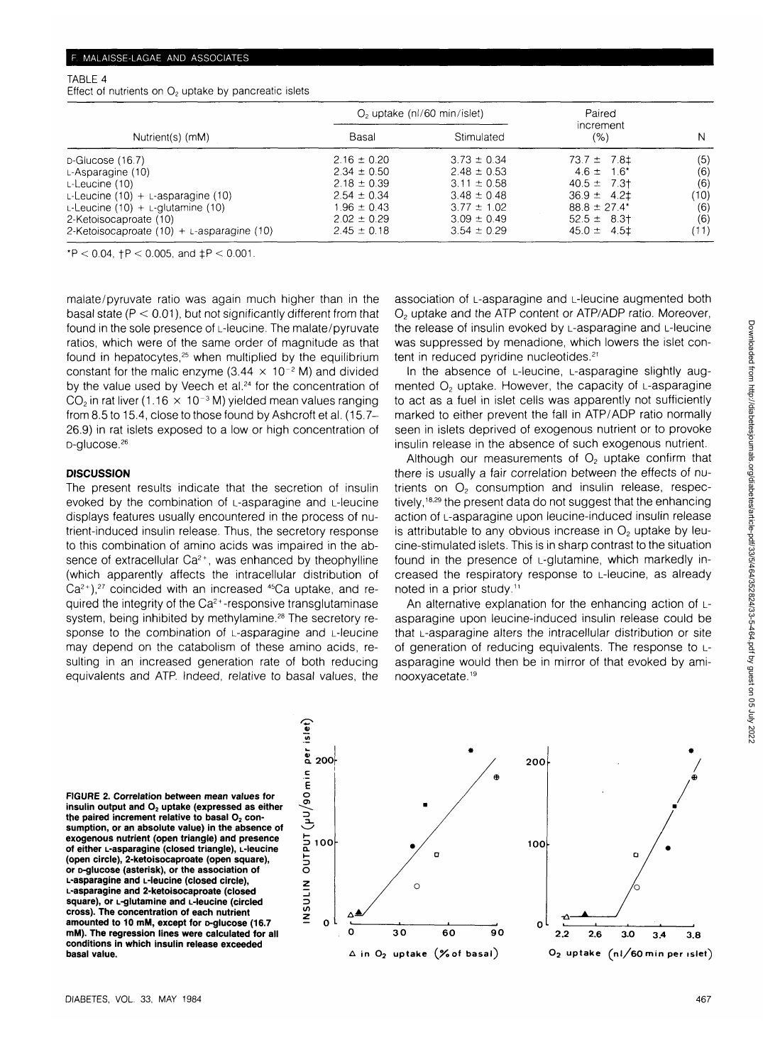#### TABLE 4

Effect of nutrients on  $O<sub>2</sub>$  uptake by pancreatic islets

|                                                 |                 | $O2$ uptake (nl/60 min/islet) | Paired                 |      |  |
|-------------------------------------------------|-----------------|-------------------------------|------------------------|------|--|
| Nutrient(s) (mM)                                | Basal           | Stimulated                    | increment<br>(%)       | N    |  |
| D-Glucose (16.7)                                | $2.16 \pm 0.20$ | $3.73 \pm 0.34$               | $73.7 \pm 7.8 \pm 7.8$ | (5)  |  |
| $L$ -Asparagine $(10)$                          | $2.34 \pm 0.50$ | $2.48 \pm 0.53$               | $4.6 \pm 1.6^*$        | (6)  |  |
| L-Leucine (10)                                  | $2.18 \pm 0.39$ | $3.11 \pm 0.58$               | $40.5 \pm 7.3$         | (6)  |  |
| L-Leucine $(10) +$ L-asparagine $(10)$          | $2.54 \pm 0.34$ | $3.48 \pm 0.48$               | $36.9 \pm 4.2 \pm 1$   | (10) |  |
| L-Leucine $(10) + L$ -glutamine $(10)$          | $1.96 \pm 0.43$ | $3.77 \pm 1.02$               | $88.8 \pm 27.4^*$      | (6)  |  |
| 2-Ketoisocaproate (10)                          | $2.02 \pm 0.29$ | $3.09 \pm 0.49$               | $52.5 \pm 8.3$         | (6)  |  |
| 2-Ketoisocaproate $(10) + L$ -asparagine $(10)$ | $2.45 \pm 0.18$ | $3.54 \pm 0.29$               | $45.0 \pm 4.51$        | (11) |  |

\*P < 0.04,  $+P$  < 0.005, and  $\pm P$  < 0.001.

malate/pyruvate ratio was again much higher than in the basal state ( $P < 0.01$ ), but not significantly different from that found in the sole presence of L-leucine. The malate/pyruvate ratios, which were of the same order of magnitude as that found in hepatocytes,<sup>25</sup> when multiplied by the equilibrium constant for the malic enzyme (3.44  $\times$  10<sup>-2</sup> M) and divided by the value used by Veech et al.<sup>24</sup> for the concentration of  $\mathsf{CO}_2$  in rat liver (1.16  $\,\times\,$  10<sup>-3</sup> M) yielded mean values ranging from 8.5 to 15.4, close to those found by Ashcroft et al. (15.7- 26.9) in rat islets exposed to a low or high concentration of D-glucose.<sup>26</sup>

## **DISCUSSION**

The present results indicate that the secretion of insulin evoked by the combination of L-asparagine and L-leucine displays features usually encountered in the process of nutrient-induced insulin release. Thus, the secretory response to this combination of amino acids was impaired in the absence of extracellular  $Ca^{2+}$ , was enhanced by theophylline (which apparently affects the intracellular distribution of  $Ca^{2+}$ ),<sup>27</sup> coincided with an increased  $45Ca$  uptake, and required the integrity of the  $Ca<sup>2+</sup>$ -responsive transglutaminase system, being inhibited by methylamine.<sup>28</sup> The secretory response to the combination of L-asparagine and L-leucine may depend on the catabolism of these amino acids, resulting in an increased generation rate of both reducing equivalents and ATP. Indeed, relative to basal values, the

association of L-asparagine and L-leucine augmented both O2 uptake and the ATP content or ATP/ADP ratio. Moreover, the release of insulin evoked by L-asparagine and L-leucine was suppressed by menadione, which lowers the islet content in reduced pyridine nucleotides.<sup>21</sup>

In the absence of L-leucine, L-asparagine slightly augmented  $O<sub>2</sub>$  uptake. However, the capacity of L-asparagine to act as a fuel in islet cells was apparently not sufficiently marked to either prevent the fall in ATP/ADP ratio normally seen in islets deprived of exogenous nutrient or to provoke insulin release in the absence of such exogenous nutrient.

Although our measurements of  $O<sub>2</sub>$  uptake confirm that there is usually a fair correlation between the effects of nutrients on  $O<sub>2</sub>$  consumption and insulin release, respectively,<sup>18,29</sup> the present data do not suggest that the enhancing action of L-asparagine upon leucine-induced insulin release is attributable to any obvious increase in  $O<sub>2</sub>$  uptake by leucine-stimulated islets. This is in sharp contrast to the situation found in the presence of L-glutamine, which markedly increased the respiratory response to L-leucine, as already noted in a prior study.11

An alternative explanation for the enhancing action of Lasparagine upon leucine-induced insulin release could be that L-asparagine alters the intracellular distribution or site of generation of reducing equivalents. The response to Lasparagine would then be in mirror of that evoked by aminooxy acetate.<sup>19</sup>

**FIGURE 2. Correlation between mean values for** insulin output and O<sub>2</sub> uptake (expressed as either the paired increment relative to basal O<sub>2</sub> con**sumption, or an absolute value) in the absence of exogenous nutrient (open triangle) and presence of either L-asparagine (closed triangle), L-leucine (open circle), 2-ketoisocaproate (open square), or D-glucose (asterisk), or the association of L-asparagine and L-leucine (closed circle), L-asparagine and 2-ketoisocaproate (closed square), or L-glutamine and L-leucine (circled cross). The concentration of each nutrient amounted to 10 mM, except for D-glucose (16.7 mM). The regression lines were calculated for all conditions in which insulin release exceeded basal value.**

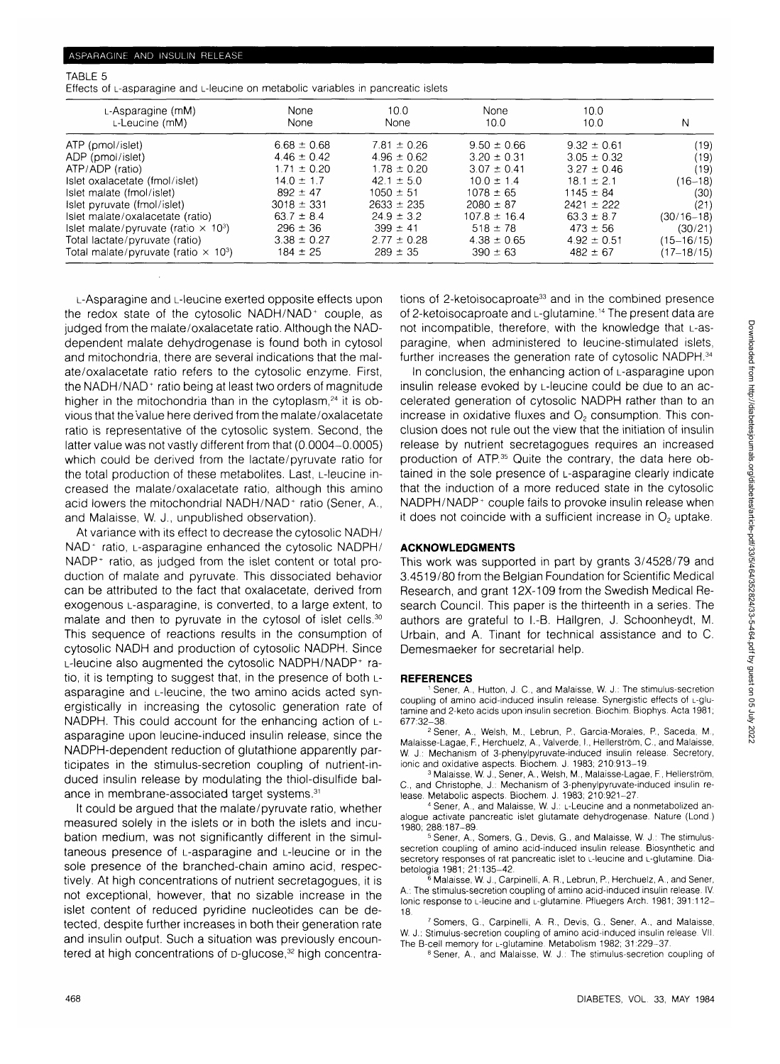#### TABLE 5

Effects of L-asparagine and L-leucine on metabolic variables in pancreatic islets

| $L$ -Asparagine (mM)<br>L-Leucine (mM)                  | None<br>None    | 10.0<br>None    | <b>None</b><br>10.0 | 10.0<br>10.0    | Ν              |
|---------------------------------------------------------|-----------------|-----------------|---------------------|-----------------|----------------|
| ATP (pmol/islet)                                        | $6.68 \pm 0.68$ | $7.81 \pm 0.26$ | $9.50 \pm 0.66$     | $9.32 \pm 0.61$ | (19)           |
| ADP (pmol/islet)                                        | $4.46 \pm 0.42$ | $4.96 \pm 0.62$ | $3.20 \pm 0.31$     | $3.05 \pm 0.32$ | (19)           |
| ATP/ADP (ratio)                                         | $1.71 \pm 0.20$ | $1.78 \pm 0.20$ | $3.07 \pm 0.41$     | $3.27 \pm 0.46$ | (19)           |
| Islet oxalacetate (fmol/islet)                          | $14.0 \pm 1.7$  | $42.1 \pm 5.0$  | $10.0 \pm 1.4$      | $18.1 \pm 2.1$  | $(16 - 18)$    |
| Islet malate (fmol/islet)                               | $892 \pm 47$    | $1050 \pm 51$   | $1078 \pm 65$       | $1145 \pm 84$   | (30)           |
| Islet pyruvate (fmol/islet)                             | $3018 \pm 331$  | $2633 \pm 235$  | $2080 \pm 87$       | $2421 + 222$    | (21)           |
| Islet malate/oxalacetate (ratio)                        | $63.7 \pm 8.4$  | $24.9 \pm 3.2$  | $107.8 \pm 16.4$    | $63.3 \pm 8.7$  | $(30/16 - 18)$ |
| Islet malate/pyruvate (ratio $\times$ 10 <sup>3</sup> ) | $296 \pm 36$    | $399 \pm 41$    | $518 \pm 78$        | $473 \pm 56$    | (30/21)        |
| Total lactate/pyruvate (ratio)                          | $3.38 \pm 0.27$ | $2.77 \pm 0.28$ | $4.38 \pm 0.65$     | $4.92 \pm 0.51$ | (15–16/15)     |
| Total malate/pyruvate (ratio $\times$ 10 <sup>3</sup> ) | $184 \pm 25$    | $289 \pm 35$    | $390 \pm 63$        | $482 \pm 67$    | (17–18/15)     |

L-Asparagine and L-leucine exerted opposite effects upon the redox state of the cytosolic NADH/NAD<sup>+</sup> couple, as judged from the malate/oxalacetate ratio. Although the NADdependent malate dehydrogenase is found both in cytosol and mitochondria, there are several indications that the malate/oxalacetate ratio refers to the cytosolic enzyme. First, the NADH/NAD<sup>+</sup> ratio being at least two orders of magnitude higher in the mitochondria than in the cytoplasm,<sup>24</sup> it is obvious that the value here derived from the malate/oxalacetate ratio is representative of the cytosolic system. Second, the latter value was not vastly different from that (0.0004-0.0005) which could be derived from the lactate/pyruvate ratio for the total production of these metabolites. Last, L-leucine increased the malate/oxalacetate ratio, although this amino acid lowers the mitochondrial NADH/NAD<sup>+</sup> ratio (Sener, A., and Malaisse, W. J., unpublished observation).

At variance with its effect to decrease the cytosolic NADH/ NAD<sup>+</sup> ratio, L-asparagine enhanced the cytosolic NADPH/ NADP<sup>+</sup> ratio, as judged from the islet content or total production of malate and pyruvate. This dissociated behavior can be attributed to the fact that oxalacetate, derived from exogenous L-asparagine, is converted, to a large extent, to malate and then to pyruvate in the cytosol of islet cells.<sup>30</sup> This sequence of reactions results in the consumption of cytosolic NADH and production of cytosolic NADPH. Since L-leucine also augmented the cytosolic NADPH/NADP+ ratio, it is tempting to suggest that, in the presence of both Lasparagine and L-leucine, the two amino acids acted synergistically in increasing the cytosolic generation rate of NADPH. This could account for the enhancing action of Lasparagine upon leucine-induced insulin release, since the NADPH-dependent reduction of glutathione apparently participates in the stimulus-secretion coupling of nutrient-induced insulin release by modulating the thiol-disulfide balance in membrane-associated target systems.31

It could be argued that the malate/pyruvate ratio, whether measured solely in the islets or in both the islets and incubation medium, was not significantly different in the simultaneous presence of L-asparagine and L-leucine or in the sole presence of the branched-chain amino acid, respectively. At high concentrations of nutrient secretagogues, it is not exceptional, however, that no sizable increase in the islet content of reduced pyridine nucleotides can be detected, despite further increases in both their generation rate and insulin output. Such a situation was previously encountered at high concentrations of D-glucose,<sup>32</sup> high concentrations of 2-ketoisocaproate<sup>33</sup> and in the combined presence of 2-ketoisocaproate and L-glutamine.<sup>14</sup> The present data are not incompatible, therefore, with the knowledge that L-asparagine, when administered to leucine-stimulated islets, further increases the generation rate of cytosolic NADPH.<sup>34</sup>

In conclusion, the enhancing action of L-asparagine upon insulin release evoked by L-leucine could be due to an accelerated generation of cytosolic NADPH rather than to an increase in oxidative fluxes and  $O<sub>2</sub>$  consumption. This conclusion does not rule out the view that the initiation of insulin release by nutrient secretagogues requires an increased production of ATP.<sup>35</sup> Quite the contrary, the data here obtained in the sole presence of L-asparagine clearly indicate that the induction of a more reduced state in the cytosolic NADPH/NADP<sup>+</sup> couple fails to provoke insulin release when it does not coincide with a sufficient increase in  $O<sub>2</sub>$  uptake.

#### **ACKNOWLEDGMENTS**

This work was supported in part by grants 3/4528/79 and 3.4519/80 from the Belgian Foundation for Scientific Medical Research, and grant 12X-109 from the Swedish Medical Research Council. This paper is the thirteenth in a series. The authors are grateful to I.-B. Hallgren, J. Schoonheydt, M. Urbain, and A. Tinant for technical assistance and to C. Demesmaeker for secretarial help.

#### **REFERENCES**

 Sener, A., Hutton, J. C, and Malaisse, W. J.: The stimulus-secretion coupling of amino acid-induced insulin release. Synergistic effects of L-glutamine and 2-keto acids upon insulin secretion. Biochim. Biophys. Acta 1981; 677:32-38. <sup>2</sup>

 Sener, A., Welsh, M., Lebrun, P., Garcia-Morales, P., Saceda, M., Malaisse-Lagae, F., Herchuelz, A., Valverde, I., Hellerström, C., and Malaisse, W. J.: Mechanism of 3-phenylpyruvate-induced insulin release. Secretory, ionic and oxidative aspects. Biochem. J. 1983; 210:913-19.

<sup>3</sup> Malaisse, W. J., Sener, A., Welsh, M., Malaisse-Lagae, F., Hellerström, C, and Christophe, J.: Mechanism of 3-phenylpyruvate-induced insulin release. Metabolic aspects. Biochem. J. 1983; 210:921-27.

4 Sener, A., and Malaisse, W. J.: L-Leucine and a nonmetabolized analogue activate pancreatic islet glutamate dehydrogenase. Nature (Lond.) 1980; 288:187-89. <sup>5</sup>

<sup>5</sup> Sener, A., Somers, G., Devis, G., and Malaisse, W. J.: The stimulussecretion coupling of amino acid-induced insulin release. Biosynthetic and secretory responses of rat pancreatic islet to L-leucine and L-glutamine. Diabetologia 1981; 21:135-42. <sup>6</sup>

 Malaisse, W. J., Carpinelli, A. R., Lebrun, P., Herchuelz, A., and Sener, A.: The stimulus-secretion coupling of amino acid-induced insulin release. IV. Ionic response to L-leucine and L-glutamine. Pfluegers Arch. 1981; 391:112-18.

7 Somers, G., Carpinelli, A. R., Devis, G., Sener, A., and Malaisse, W. J.: Stimulus-secretion coupling of amino acid-induced insulin release. VII. The B-cell memory for L-glutamine. Metabolism 1982; 31:229-37

<sup>8</sup> Sener, A., and Malaisse, W. J.: The stimulus-secretion coupling of